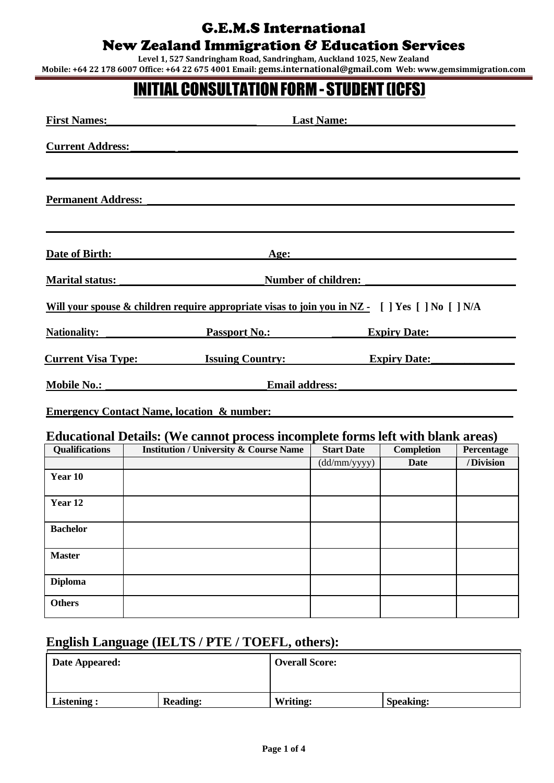**Level 1, 527 Sandringham Road, Sandringham, Auckland 1025, New Zealand Mobile: +64 22 178 6007 Office: +64 22 675 4001 Email: gems.international@gmail.com Web: www.gemsimmigration.com**

# INITIALCONSULTATIONFORM-STUDENT (ICFS)

| <b>First Names:</b>                                                             | <b>Last Name:</b>                                                                                |                     |                   |            |  |
|---------------------------------------------------------------------------------|--------------------------------------------------------------------------------------------------|---------------------|-------------------|------------|--|
| <b>Current Address:</b>                                                         |                                                                                                  |                     |                   |            |  |
|                                                                                 |                                                                                                  |                     |                   |            |  |
| <b>Permanent Address:</b>                                                       |                                                                                                  |                     |                   |            |  |
|                                                                                 |                                                                                                  |                     |                   |            |  |
| Date of Birth:                                                                  | Age:                                                                                             |                     |                   |            |  |
| <b>Marital status:</b>                                                          |                                                                                                  | Number of children: |                   |            |  |
|                                                                                 | Will your spouse & children require appropriate visas to join you in NZ - [ ] Yes [ ] No [ ] N/A |                     |                   |            |  |
| <b>Nationality:</b>                                                             | <b>Passport No.:</b><br><b>Expiry Date:</b>                                                      |                     |                   |            |  |
|                                                                                 | <b>Current Visa Type:</b> Issuing Country:<br><b>Expiry Date:</b>                                |                     |                   |            |  |
| Email address:<br><b>Mobile No.:</b>                                            |                                                                                                  |                     |                   |            |  |
|                                                                                 | <b>Emergency Contact Name, location &amp; number:</b>                                            |                     |                   |            |  |
| Educational Details: (We cannot process incomplete forms left with blank areas) |                                                                                                  |                     |                   |            |  |
| <b>Qualifications</b>                                                           | <b>Institution / University &amp; Course Name</b>                                                | <b>Start Date</b>   | <b>Completion</b> | Percentage |  |
|                                                                                 |                                                                                                  | (dd/mm/yyyy)        | <b>Date</b>       | /Division  |  |
| Year 10                                                                         |                                                                                                  |                     |                   |            |  |
| Year <sub>12</sub>                                                              |                                                                                                  |                     |                   |            |  |
| <b>Bachelor</b>                                                                 |                                                                                                  |                     |                   |            |  |
| <b>Master</b>                                                                   |                                                                                                  |                     |                   |            |  |

| <b>Diploma</b> |  |  |
|----------------|--|--|
| <b>Others</b>  |  |  |
|                |  |  |

### **English Language (IELTS / PTE / TOEFL, others):**

| Date Appeared: |                 | <b>Overall Score:</b> |                  |  |  |
|----------------|-----------------|-----------------------|------------------|--|--|
|                |                 |                       |                  |  |  |
| Listening:     | <b>Reading:</b> | Writing:              | <b>Speaking:</b> |  |  |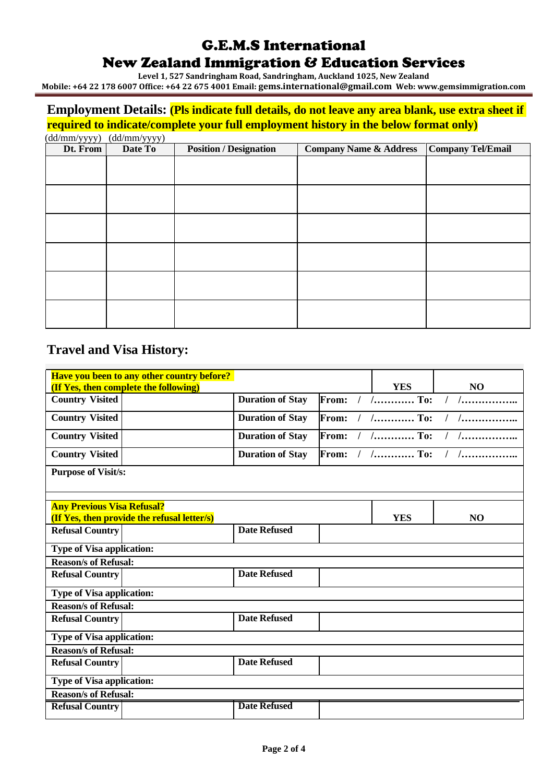**Level 1, 527 Sandringham Road, Sandringham, Auckland 1025, New Zealand**

**Mobile: +64 22 178 6007 Office: +64 22 675 4001 Email: gems.international@gmail.com Web: www.gemsimmigration.com**

#### **Employment Details: (Pls indicate full details, do not leave any area blank, use extra sheet if required to indicate/complete your full employment history in the below format only)**

(dd/mm/yyyy) (dd/mm/yyyy)

| $\frac{\langle \mathbf{u} \mathbf{u} \rangle \mathbf{u} \mathbf{u} \mathbf{u} \mathbf{u} \mathbf{u} \mathbf{u} \mathbf{u} \mathbf{u} \mathbf{u} \mathbf{u} \mathbf{u} \mathbf{u} \mathbf{u} \mathbf{u} \mathbf{u} \mathbf{u} \mathbf{u} \mathbf{u} \mathbf{u} \mathbf{u} \mathbf{u} \mathbf{u} \mathbf{u} \mathbf{u} \mathbf{u} \mathbf{u} \mathbf{u} \mathbf{u} \mathbf{u} \mathbf{u} \mathbf{u} \mathbf{u} \mathbf{u} \mathbf{$<br>Dt. From | Date To | <b>Position / Designation</b> | <b>Company Name &amp; Address</b> | <b>Company Tel/Email</b> |
|-----------------------------------------------------------------------------------------------------------------------------------------------------------------------------------------------------------------------------------------------------------------------------------------------------------------------------------------------------------------------------------------------------------------------------------------------|---------|-------------------------------|-----------------------------------|--------------------------|
|                                                                                                                                                                                                                                                                                                                                                                                                                                               |         |                               |                                   |                          |
|                                                                                                                                                                                                                                                                                                                                                                                                                                               |         |                               |                                   |                          |
|                                                                                                                                                                                                                                                                                                                                                                                                                                               |         |                               |                                   |                          |
|                                                                                                                                                                                                                                                                                                                                                                                                                                               |         |                               |                                   |                          |
|                                                                                                                                                                                                                                                                                                                                                                                                                                               |         |                               |                                   |                          |
|                                                                                                                                                                                                                                                                                                                                                                                                                                               |         |                               |                                   |                          |
|                                                                                                                                                                                                                                                                                                                                                                                                                                               |         |                               |                                   |                          |
|                                                                                                                                                                                                                                                                                                                                                                                                                                               |         |                               |                                   |                          |
|                                                                                                                                                                                                                                                                                                                                                                                                                                               |         |                               |                                   |                          |
|                                                                                                                                                                                                                                                                                                                                                                                                                                               |         |                               |                                   |                          |
|                                                                                                                                                                                                                                                                                                                                                                                                                                               |         |                               |                                   |                          |
|                                                                                                                                                                                                                                                                                                                                                                                                                                               |         |                               |                                   |                          |

### **Travel and Visa History:**

|                                   | Have you been to any other country before?<br>(If Yes, then complete the following) |                         |       |  | <b>YES</b>                          | N <sub>O</sub>    |
|-----------------------------------|-------------------------------------------------------------------------------------|-------------------------|-------|--|-------------------------------------|-------------------|
| <b>Country Visited</b>            |                                                                                     | <b>Duration of Stay</b> | From: |  | $1.$ To:                            | $1 \quad 1 \quad$ |
| <b>Country Visited</b>            |                                                                                     | <b>Duration of Stay</b> | From: |  | $1 \dots \dots \dots \dots \dots$   |                   |
| <b>Country Visited</b>            |                                                                                     | <b>Duration of Stay</b> | From: |  | $1 \ldots \ldots \ldots \ldots$ To: |                   |
| <b>Country Visited</b>            |                                                                                     | <b>Duration of Stay</b> | From: |  | $/$ $/$ To:                         |                   |
| <b>Purpose of Visit/s:</b>        |                                                                                     |                         |       |  |                                     |                   |
|                                   |                                                                                     |                         |       |  |                                     |                   |
| <b>Any Previous Visa Refusal?</b> | (If Yes, then provide the refusal letter/s)                                         |                         |       |  | <b>YES</b>                          | N <sub>O</sub>    |
| <b>Refusal Country</b>            |                                                                                     | <b>Date Refused</b>     |       |  |                                     |                   |
| Type of Visa application:         |                                                                                     |                         |       |  |                                     |                   |
| <b>Reason/s of Refusal:</b>       |                                                                                     |                         |       |  |                                     |                   |
| <b>Refusal Country</b>            |                                                                                     | <b>Date Refused</b>     |       |  |                                     |                   |
| Type of Visa application:         |                                                                                     |                         |       |  |                                     |                   |
| <b>Reason/s of Refusal:</b>       |                                                                                     |                         |       |  |                                     |                   |
| <b>Refusal Country</b>            |                                                                                     | <b>Date Refused</b>     |       |  |                                     |                   |
| <b>Type of Visa application:</b>  |                                                                                     |                         |       |  |                                     |                   |
| <b>Reason/s of Refusal:</b>       |                                                                                     |                         |       |  |                                     |                   |
| <b>Refusal Country</b>            |                                                                                     | <b>Date Refused</b>     |       |  |                                     |                   |
| <b>Type of Visa application:</b>  |                                                                                     |                         |       |  |                                     |                   |
| <b>Reason/s of Refusal:</b>       |                                                                                     |                         |       |  |                                     |                   |
| <b>Refusal Country</b>            |                                                                                     | <b>Date Refused</b>     |       |  |                                     |                   |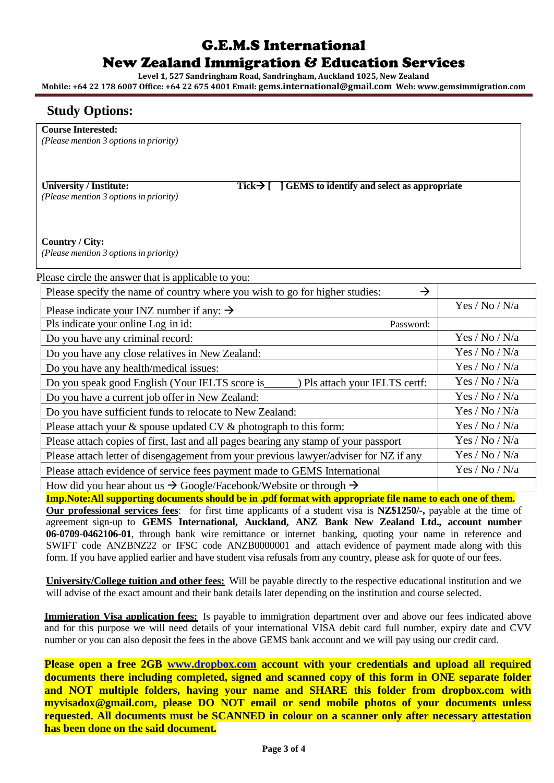**Level 1, 527 Sandringham Road, Sandringham, Auckland 1025, New Zealand**

**Mobile: +64 22 178 6007 Office: +64 22 675 4001 Email: gems.international@gmail.com Web: www.gemsimmigration.com**

#### **Study Options:**

**Course Interested:**

*(Please mention 3 optionsin priority)*

*(Please mention 3 optionsin priority)*

**University / Institute: Tick**→ **[ ] GEMS to identify and select as appropriate**

**Country / City:** *(Please mention 3 optionsin priority)*

| Please circle the answer that is applicable to you:                                          |                |
|----------------------------------------------------------------------------------------------|----------------|
| $\rightarrow$<br>Please specify the name of country where you wish to go for higher studies: |                |
| Please indicate your INZ number if any: $\rightarrow$                                        | Yes / No / N/a |
| Pls indicate your online Log in id:<br>Password:                                             |                |
| Do you have any criminal record:                                                             | Yes / No / N/a |
| Do you have any close relatives in New Zealand:                                              | Yes / No / N/a |
| Do you have any health/medical issues:                                                       | Yes / No / N/a |
| Do you speak good English (Your IELTS score is<br>Pls attach your IELTS certf:               | Yes / No / N/a |
| Do you have a current job offer in New Zealand:                                              | Yes / No / N/a |
| Do you have sufficient funds to relocate to New Zealand:                                     | Yes / No / N/a |
| Please attach your $\&$ spouse updated CV $\&$ photograph to this form:                      | Yes / No / N/a |
| Please attach copies of first, last and all pages bearing any stamp of your passport         | Yes / No / N/a |
| Please attach letter of disengagement from your previous lawyer/adviser for NZ if any        | Yes / No / N/a |
| Please attach evidence of service fees payment made to GEMS International                    | Yes / No / N/a |
| How did you hear about us $\rightarrow$ Google/Facebook/Website or through $\rightarrow$     |                |

**Imp.Note:All supporting documents should be in .pdf format with appropriate file name to each one of them. Our professional services fees**: for first time applicants of a student visa is **NZ\$1250/-,** payable at the time of agreement sign-up to **GEMS International, Auckland, ANZ Bank New Zealand Ltd., account number 06-0709-0462106-01**, through bank wire remittance or internet banking, quoting your name in reference and SWIFT code ANZBNZ22 or IFSC code ANZB0000001 and attach evidence of payment made along with this form. If you have applied earlier and have student visa refusals from any country, please ask for quote of our fees.

**University/College tuition and other fees:** Will be payable directly to the respective educational institution and we will advise of the exact amount and their bank details later depending on the institution and course selected.

**Immigration Visa application fees:** Is payable to immigration department over and above our fees indicated above and for this purpose we will need details of your international VISA debit card full number, expiry date and CVV number or you can also deposit the fees in the above GEMS bank account and we will pay using our credit card.

**Please open a free 2GB [www.dropbox.com](http://www.dropbox.com/) account with your credentials and upload all required documents there including completed, signed and scanned copy of this form in ONE separate folder and NOT multiple folders, having your name and SHARE this folder from dropbox.com with myvisadox@gmail.com, please DO NOT email or send mobile photos of your documents unless requested. All documents must be SCANNED in colour on a scanner only after necessary attestation has been done on the said document.**